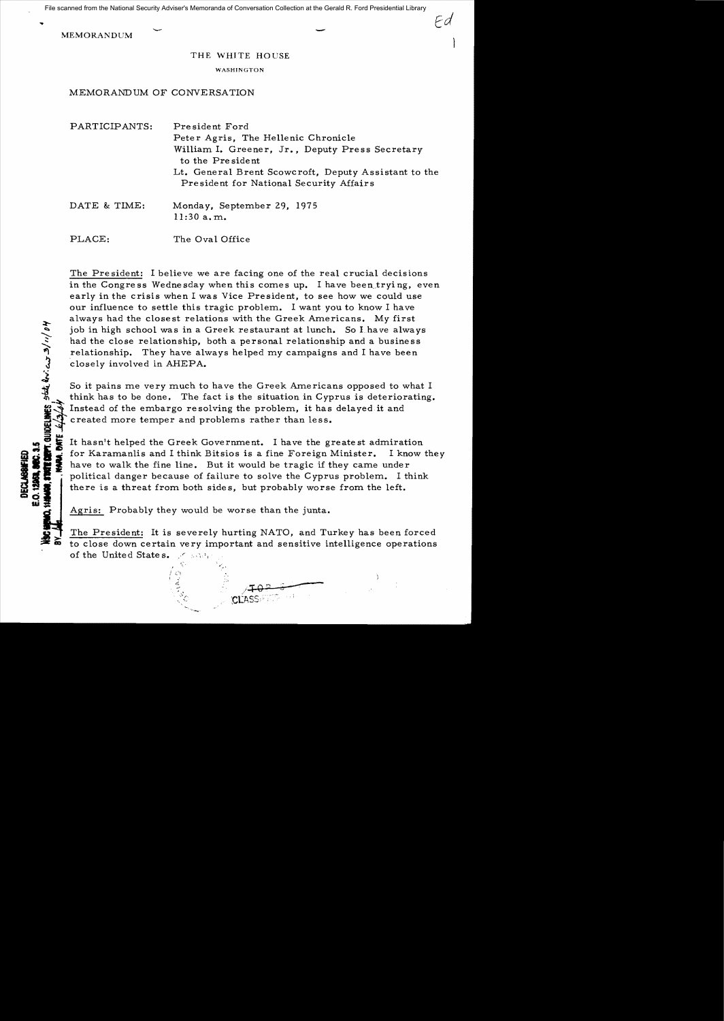File scanned from the National Security Adviser's Memoranda of Conversation Collection at the Gerald R. Ford Presidential Library

MEMORANDUM –

...

''; ~<br>~

**DECLASS**<br>0.12968,<br>19409, 5706

## THE WHITE HOUSE

## WASHINGTON

MEMORANDUM OF CONVERSATION

| PARTICIPANTS: | President Ford<br>Peter Agris, The Hellenic Chronicle<br>William I. Greener, Jr., Deputy Press Secretary<br>to the President<br>Lt. General Brent Scowcroft, Deputy Assistant to the<br>President for National Security Affairs |
|---------------|---------------------------------------------------------------------------------------------------------------------------------------------------------------------------------------------------------------------------------|
| DATE & TIME:  | Monday, September 29, 1975<br>11:30 a.m.                                                                                                                                                                                        |
| PLACE:        | The Oval Office                                                                                                                                                                                                                 |

The President: I believe we are facing one of the real crucial decisions in the Congress Wednesday when this comes up. I have been trying, even early in the crisis when I was Vice President, to see how we could use our influence to settle this tragic problem. I want you to know I have always had the closest relations with the Greek Americans. *My* first job in high school was in a Greek restaurant at lunch. So Lhave always had the close relationship, both a personal relationship and a business relationship. They have always helped my campaigns and I have been closely involved in AHEPA.

So it pains me very much to have the Greek Americans opposed to what I think has to be done. The fact is the situation in Cyprus is deteriorating.<br>Instead of the embargo resolving the problem, it has delayed it and created more temper and problems rather than less.

It hasn't helped the Greek Government. I have the greatest admiration of the Karamanlis and I think Bitsios is a fine Foreign Minister. I know they<br>so have to walk the fine line. But it would be tragic if they came under<br>so that is a threat from both sides, but probably worse from the left. there is a threat from both side s, but probably worse from the left.

Agris: Probably they would be worse than the junta.

"

The President: It is severely hurting NATO, and Turkey has been forced to close down certain very important and sensitive intelligence operations of the United States. A same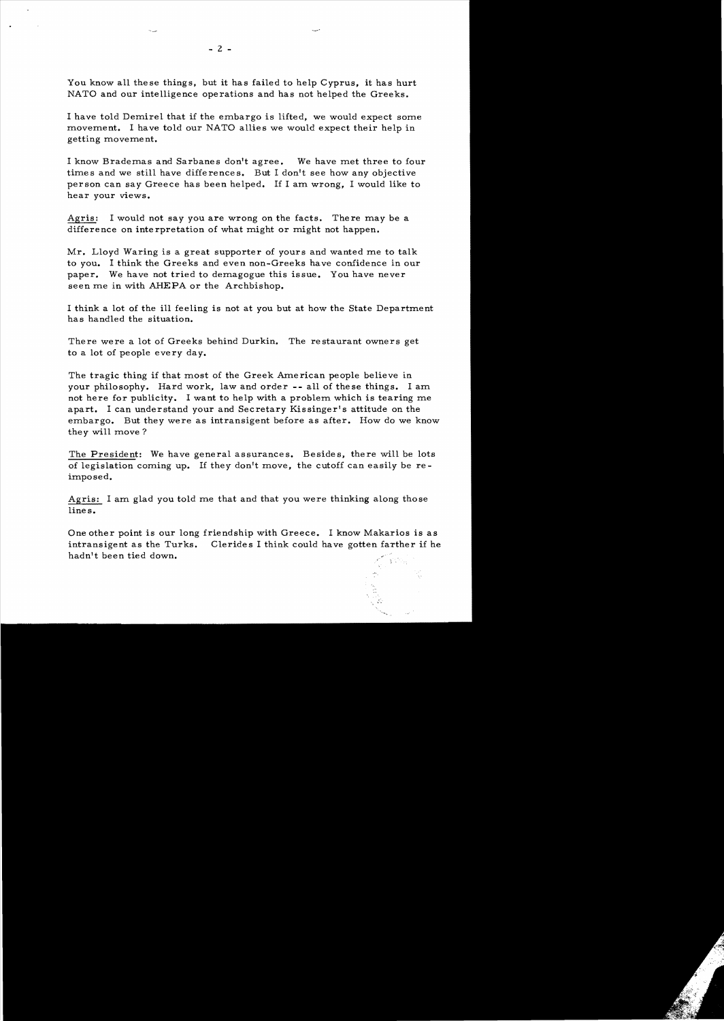You know all these things, but it has failed to help Cyprus, it has hurt NATO and our intelligence operations and has not helped the Greeks.

I have told Demirel that if the embargo is lifted, we would expect some movement. I have told our NATO allies we would expect their help in getting moveme nt.

I know Brademas and Sarbanes don't agree. We have met three to four times and we still have differences. But I don't see how any objective person can say Greece has been helped. If I am wrong, I would like to hear your views.

Agris: I would not say you are wrong on the facts. There may be a difference on interpretation of what might or might not happen.

Mr. Lloyd Waring is a great supporter of yours and wanted me to talk to you. I think the Greeks and even non-Greeks have confidence in our paper. We have not tried to demagogue this issue. You have never seen me in with AHEPA or the Archbishop.

I think a lot of the ill feeling is not at you but at how the State Department has handled the situation.

There were a lot of Greeks behind Durkin. The restaurant owners get to a lot of people every day.

The tragic thing if that most of the Greek American people believe in your philosophy. Hard work, law and order **--** all of the se things. I am not here for publicity. I want to help with a problem which is tearing me apart. I can understand your and Secretary Kissinger's attitude on the embargo. But they were as intransigent before as after. How do we know they will move?

The President: We have general assurances. Besides, there will be lots of legislation coming up. If they don't move, the cutoff can easily be reimposed.

Agris: I am glad you told me that and that you were thinking along those lines.

One other point is our long friendship with Greece. I know Makarios is as intransigent as the Turks. Clerides I think could have gotten farther if he hadn't been tied down.  $\mathcal{L} = \mathcal{L} \cup \mathcal{L}$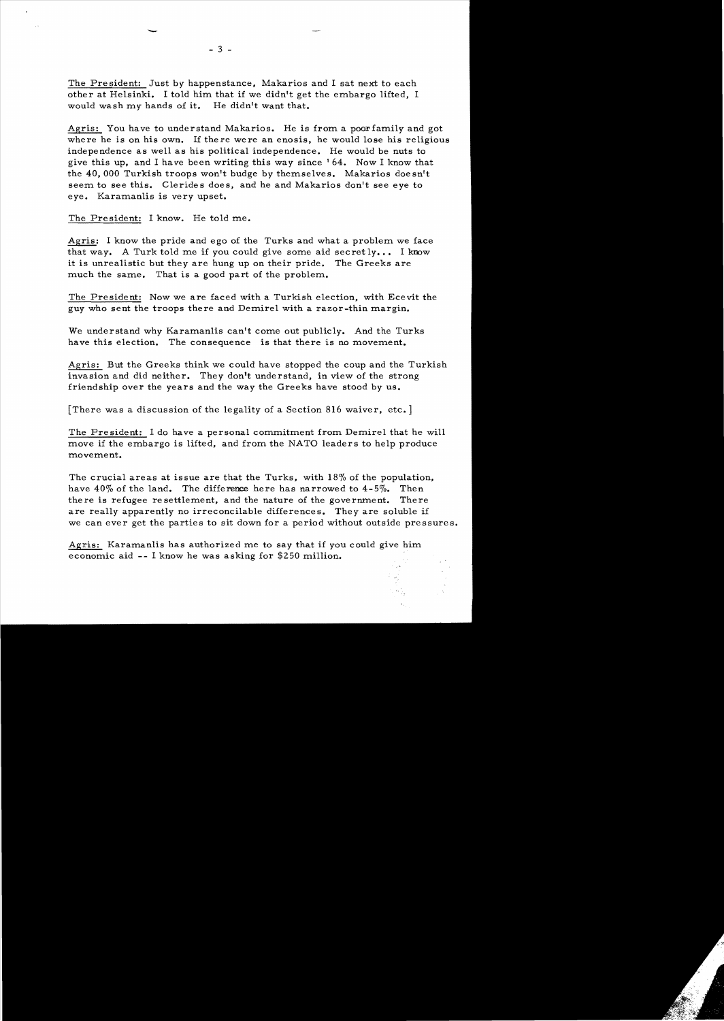The President: Just by happenstance, Makarios and I sat next to each other at Helsinki. I told him that if we didn't get the embargo lifted, I would wash my hands of it. He didn't want that.

Agris: You have to understand Makarios. He is from a poor family and got where he is on his own. If there were an enosis, he would lose his religious independence as well as his political independence. He would be nuts to give this up, and I have been writing this way since' 64. Now I know that the 40,000 Turkish troops won't budge by themselves. Makarios doesn't seem to see this. Clerides does, and he and Makarios don't see eye to eye. Karamanlis is very upset.

The President: I know. He told me.

-

 $\sim$ 

Agris: I know the pride and ego of the Turks and what a problem we face that way. A Turk told me if you could give some aid secretly... I know it is unrealistic but they are hung up on their pride. The Greeks are much the same. That is a good part of the problem.

The President: Now we are faced with a Turkish election, with Ecevit the guy who sent the troops there and Demirel with a razor-thin margin.

We understand why Karamanlis can't come out publicly. And the Turks have this election. The consequence is that there is no movement.

Agris: But the Greeks think we could have stopped the coup and the Turkish invasion and did neither. They don't understand, in view of the strong friendship over the years and the way the Greeks have stood by us.

[There was a discussion of the legality of a Section 816 waiver, etc.]

The President: I do have a personal commitment from Demirel that he will move if the embargo is lifted, and from the NATO leaders to help produce movement.

The crucial areas at issue are that the Turks, with  $18\%$  of the population, have 40% of the land. The difference here has narrowed to 4-5%. Then there is refugee resettlement, and the nature of the government. There are really apparently no irreconcilable differences. They are soluble if we can ever get the parties to sit down for a period without outside pressures.

Agris: Karamanlis has authorized me to say that if you could give him economic aid -- I know he was asking for \$250 million.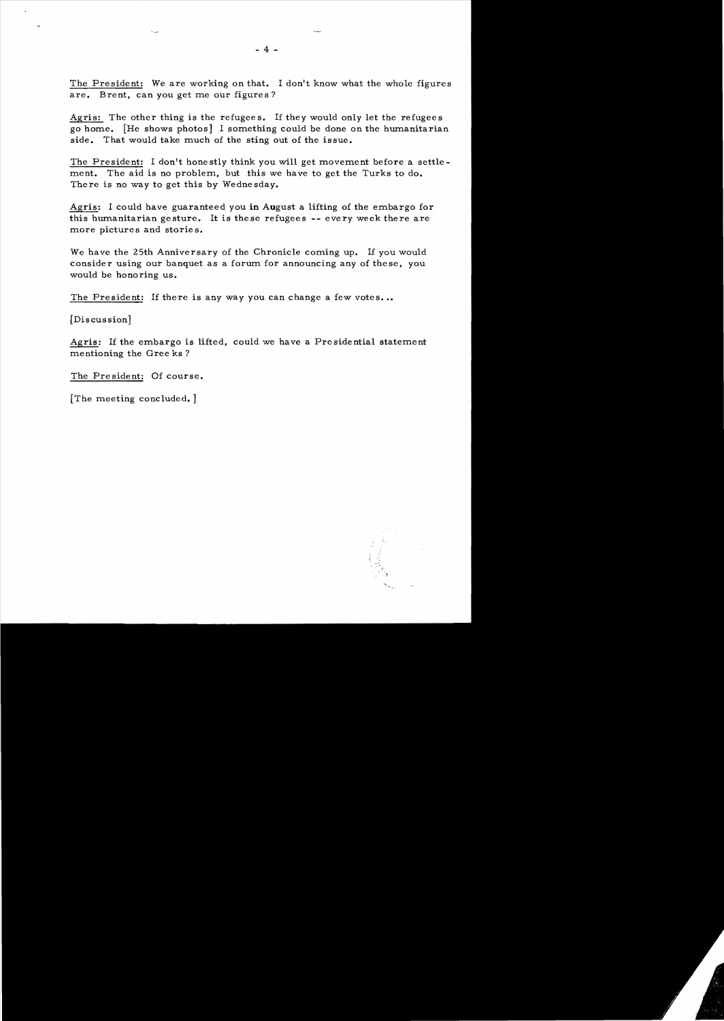The President: We are working on that. I don't know what the whole figures are. Brent, can you get me our figures?

Agris: The other thing is the refugees. If they would only let the refugees go home. [He shows photos] I something could be done on the humanitarian side. That would take much of the sting out of the issue.

The President: I don't honestly think you will get movement before a settlement. The aid is no problem, but this we have to get the Turks to do. There is no way to get this by Wednesday.

Agris: I could have guaranteed you in August a lifting of the embargo for this humanitarian gesture. It is these refugees -- every week there are more pictures and stories.

We have the 25th Anniversary of the Chronicle coming up. If you would consider using our banquet as a forum for announcing any of these, you would be honoring us.

The President: If there is any way you can change a few votes...

[Discussion]

Agris: If the embargo is lifted, could we have a Presidential statement mentioning the Gree ks ?

The President: Of course.

[The meeting concluded. ]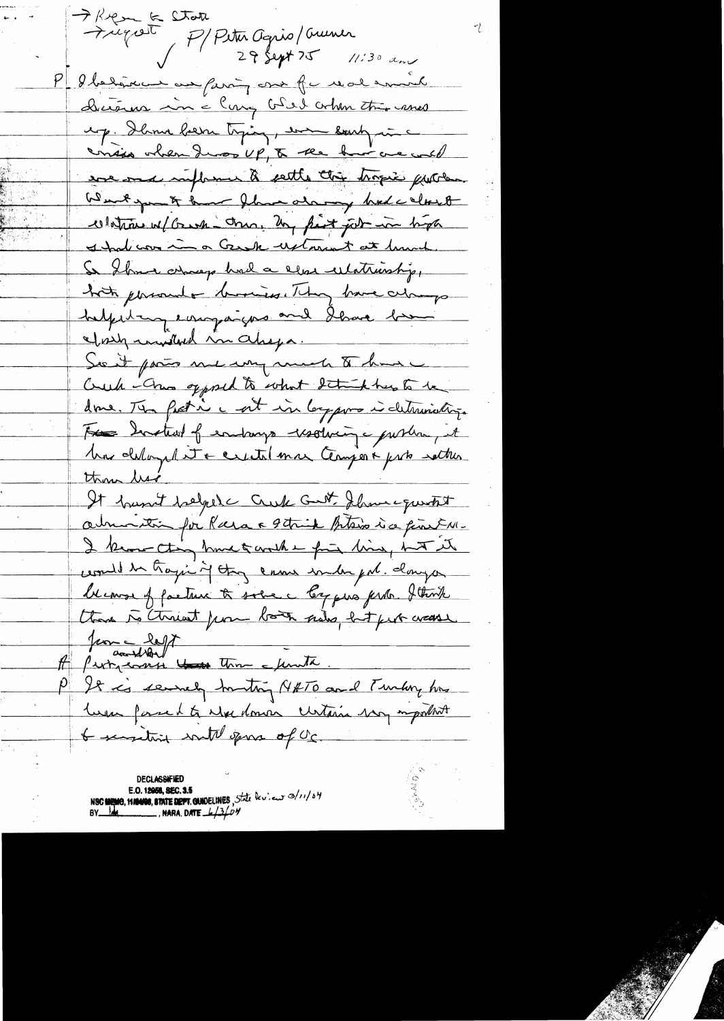FRea & State P/Peter Agris/Cruner P detaille en farin out fu real en ul Dictions in a long bled orbit this cases ep. Danne bern trying, en eauty une consider when I was UP, to the but we will ever once influence à settle this tropic purton Wenty - & have the atary hole cloud colation w/ Grash - trus, by first job in high I had con in a Great watarent at limit. So Show arrage had a clear ulatriship, both personale business. They have always helpstay enogaiges and dhave been eforty randbord in Chega. See it pais me un much to have Creek - Chan opposed to what detail has to be done. The fact in c at in largement determinations. For Instead of endange resolving - pushing it Ma delage to centil mar Cerujes & pris setter thou list It hunt befol Cuk Gut Show questit almonition for Para a 9 think plans is a finit M-I know thing have to worth a find him, hut it could be trajent they came inder put danger blemse of facture to some a log que prob. I think thank to threat from both how hot fut wasse Jeon - left A Purnacente Hass Three cunta. P It is servely truthing N#TO and Turking his luna forsed to wheedomen certain war mymbot & sussitivity with gove of oc.

**DECLASSIFIED** E.O. 12058, SEC. 3.5 NSC MEMO, MANOS, STATE DEPT. CUNDELINES, State leview 0/11/04<br>BY 14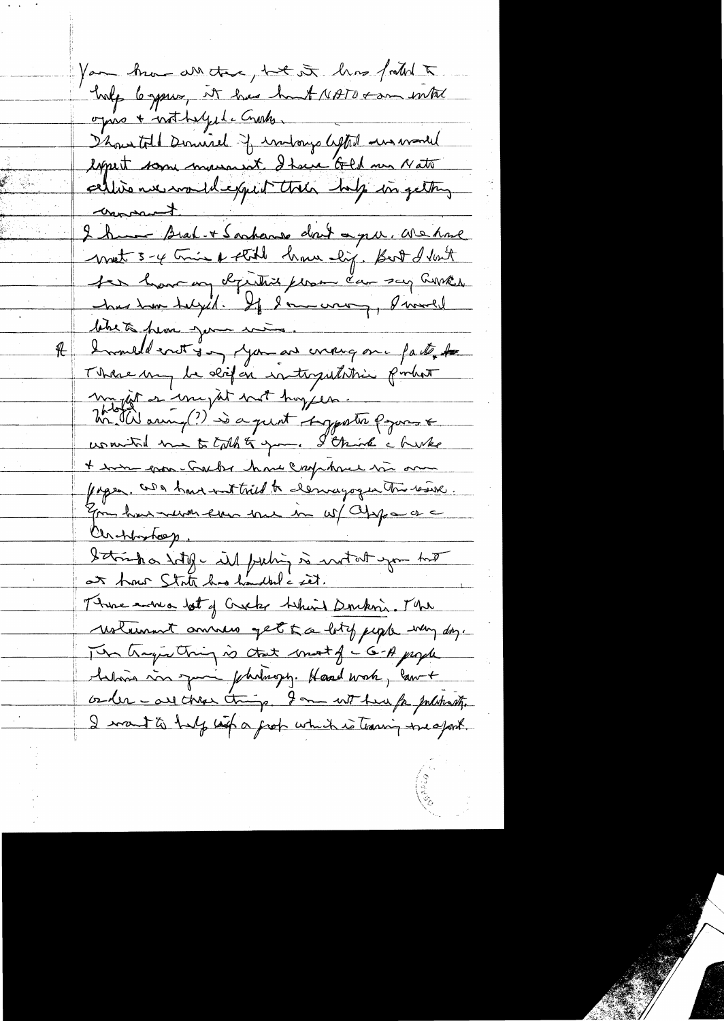You know are the task of his falled holp le spring, it has hunt NATO + am inter opro + nothelyste Crustes Thousand Durinich of indowys lefted answered liquit some manarat. It we Ged me Nati celline nu moule quit très hip ingetting I have Brak-+ Sanhanne don't a grue. We have writ 3-4 trine & still have lig. But I last ter have un députit plan du say avec has tom talged. If I am wary, I would lebets pear jour mes Inmedication you are croug on part to  $#$ There my be differ intravibilitie portet jut en une jut part hog can motivaux, (?) so a quot suggestre population womited me to talk to your. I think a hunker + was grow-Gacher have crop have the one pages, and have not tried to demayogen this result. from have never from the in w/ apparence Chappyhops, Ithink a litty - il pubin is witat you tot at how State has handled c set. There were lot of Creeks helind Doukon. The wolumnt amous get a lot of juga way day. The tragenthing is that most of c 6-A paper helmin von zum fahrlungs. Haard work, law + order - are these things. I am without for presente I want to help like a grob which is training the apost.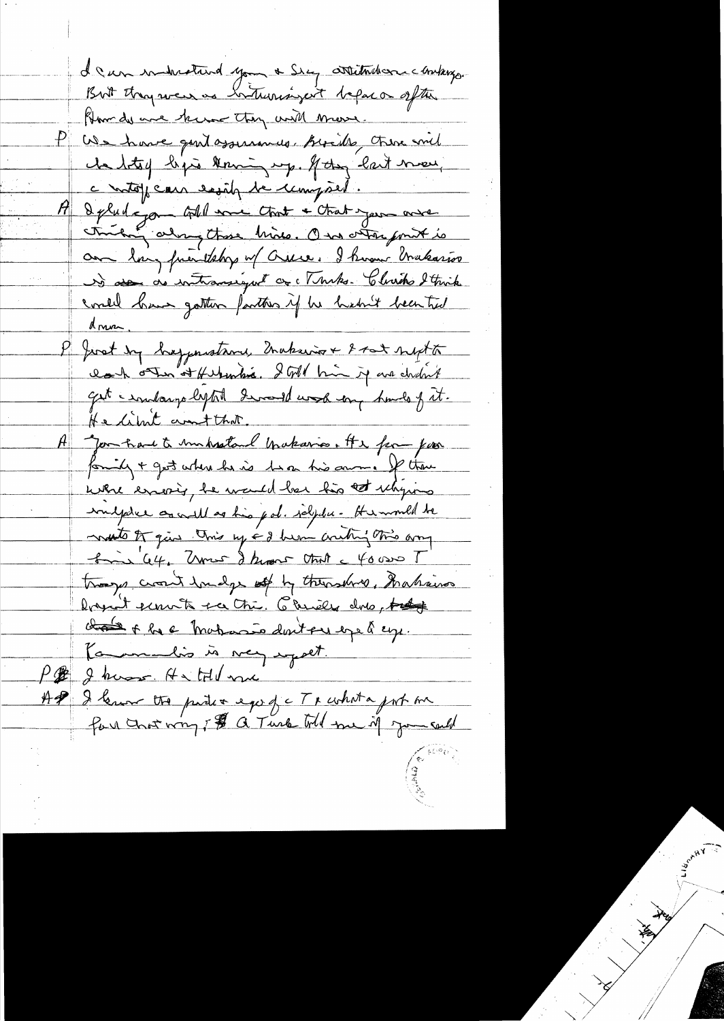I can indicating you a Sieg attitudence contains. But they were as interessingent before a often How do use heroe they will move. P We have gont assurances. Birides there and che betoy begin knowing up. If they last meet, c into pean easily be compact. I plud a go - Gold me Chat + Chat you ave thinking along those bride. One other forit is an long frientshy of Orice. I hover brakarios de se de intransigne de Muks. Clurch Strick could have gather factors if he heart been tid <u>Anna</u> I Joset by happenstrom, Inakaine + 8 tot supt to lack other of Herbenkia. I Gold him is we cholont get a windowys lepted devand work any hands of it. He limit ant that. A you have to unhastand brakaria. It & for you formily + get where he is two his amount of theme where essering, he wanted has his at whyins imigate as will as his pol. salydu - He would be noto of give this my ed hem anthy this any from 64. Unes I knows that a 40000 T troops cross hudge of by themshire, Inakains Don't servite see tri. Chiles dres prof chase of he a motas dont en exe à esp. Kammelis in very expect. P & J know H & HU me AP I lemon tre partir ego f c Tracheta port me for chost wing if a Turk till me if you sall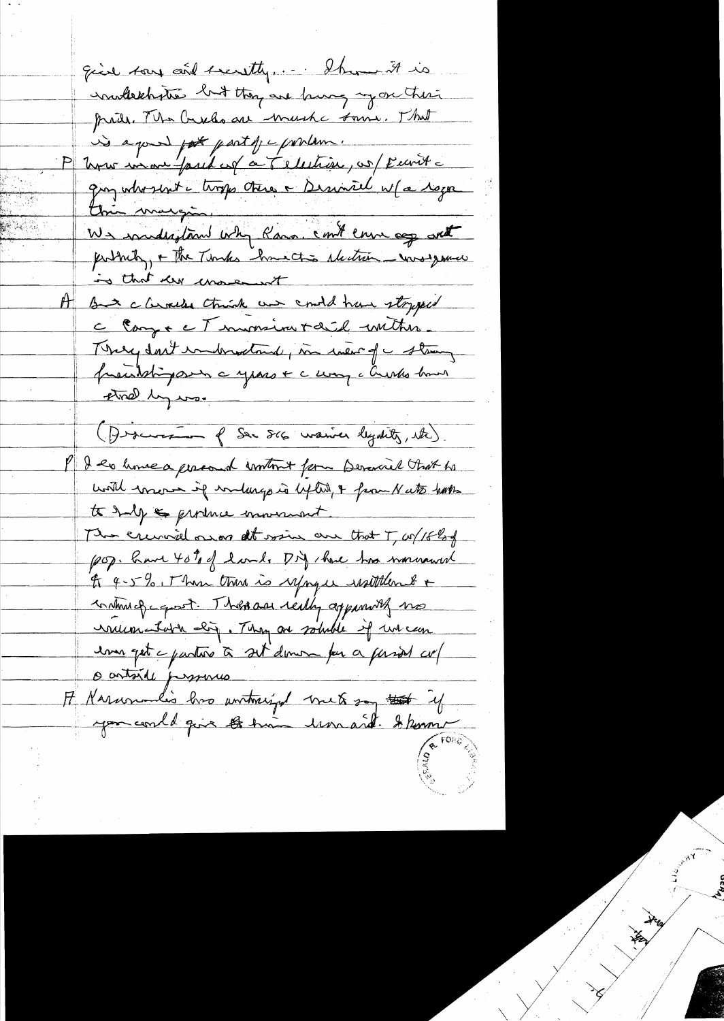give tous cont secretly.... Show it is inullechaties but they are burg my on their pride. The Creeks are much some. That is a good pot part of c produce. P know in one faud of a Telestion, or Eurite any whosent a trops there a serial w/a roya this margin.<br>We industried why Para. could ensu age ant puttinty, + The Timbes have this electron was your is that der moment A But climics think we could have stopped C Compt et immerieur diel inition. There don't improve think, in wear of a strong precident para a years + c comp c Crestes homes that ly was (Discurs q Ser Scc marier legatily, etc). P I les home a gracoud contrat form Devancel that he with wrones if writings is lifted, & from N ato hats to half a grounce movement. The crumical onor alt voin our that T, w/18hof (20). Came 40% of land. Dif there has nonround to 4-5%. These there is sepagae uptitlent + continued equat. There are really appeared use inumentation abig. They are soluble if we can una get a partire à set donom par a passed co/ o antoire personas F Narumalis has untrained met son tot 24